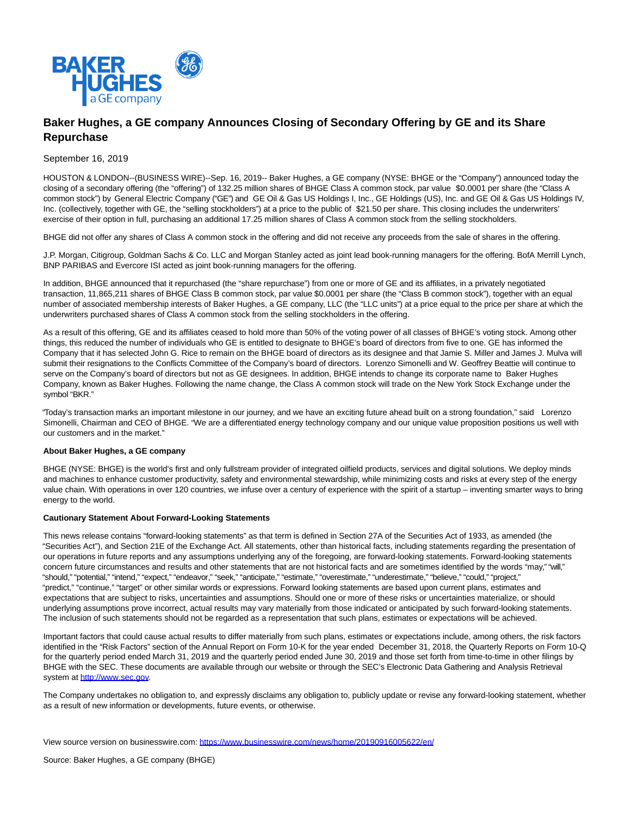

## **Baker Hughes, a GE company Announces Closing of Secondary Offering by GE and its Share Repurchase**

## September 16, 2019

HOUSTON & LONDON--(BUSINESS WIRE)--Sep. 16, 2019-- Baker Hughes, a GE company (NYSE: BHGE or the "Company") announced today the closing of a secondary offering (the "offering") of 132.25 million shares of BHGE Class A common stock, par value \$0.0001 per share (the "Class A common stock") by General Electric Company ("GE") and GE Oil & Gas US Holdings I, Inc., GE Holdings (US), Inc. and GE Oil & Gas US Holdings IV, Inc. (collectively, together with GE, the "selling stockholders") at a price to the public of \$21.50 per share. This closing includes the underwriters' exercise of their option in full, purchasing an additional 17.25 million shares of Class A common stock from the selling stockholders.

BHGE did not offer any shares of Class A common stock in the offering and did not receive any proceeds from the sale of shares in the offering.

J.P. Morgan, Citigroup, Goldman Sachs & Co. LLC and Morgan Stanley acted as joint lead book-running managers for the offering. BofA Merrill Lynch, BNP PARIBAS and Evercore ISI acted as joint book-running managers for the offering.

In addition, BHGE announced that it repurchased (the "share repurchase") from one or more of GE and its affiliates, in a privately negotiated transaction, 11,865,211 shares of BHGE Class B common stock, par value \$0.0001 per share (the "Class B common stock"), together with an equal number of associated membership interests of Baker Hughes, a GE company, LLC (the "LLC units") at a price equal to the price per share at which the underwriters purchased shares of Class A common stock from the selling stockholders in the offering.

As a result of this offering, GE and its affiliates ceased to hold more than 50% of the voting power of all classes of BHGE's voting stock. Among other things, this reduced the number of individuals who GE is entitled to designate to BHGE's board of directors from five to one. GE has informed the Company that it has selected John G. Rice to remain on the BHGE board of directors as its designee and that Jamie S. Miller and James J. Mulva will submit their resignations to the Conflicts Committee of the Company's board of directors. Lorenzo Simonelli and W. Geoffrey Beattie will continue to serve on the Company's board of directors but not as GE designees. In addition, BHGE intends to change its corporate name to Baker Hughes Company, known as Baker Hughes. Following the name change, the Class A common stock will trade on the New York Stock Exchange under the symbol "BKR."

"Today's transaction marks an important milestone in our journey, and we have an exciting future ahead built on a strong foundation," said Lorenzo Simonelli, Chairman and CEO of BHGE. "We are a differentiated energy technology company and our unique value proposition positions us well with our customers and in the market."

## **About Baker Hughes, a GE company**

BHGE (NYSE: BHGE) is the world's first and only fullstream provider of integrated oilfield products, services and digital solutions. We deploy minds and machines to enhance customer productivity, safety and environmental stewardship, while minimizing costs and risks at every step of the energy value chain. With operations in over 120 countries, we infuse over a century of experience with the spirit of a startup – inventing smarter ways to bring energy to the world.

## **Cautionary Statement About Forward-Looking Statements**

This news release contains "forward-looking statements" as that term is defined in Section 27A of the Securities Act of 1933, as amended (the "Securities Act"), and Section 21E of the Exchange Act. All statements, other than historical facts, including statements regarding the presentation of our operations in future reports and any assumptions underlying any of the foregoing, are forward-looking statements. Forward-looking statements concern future circumstances and results and other statements that are not historical facts and are sometimes identified by the words "may," "will," "should," "potential," "intend," "expect," "endeavor," "seek," "anticipate," "estimate," "overestimate," "underestimate," "believe," "could," "project," "predict," "continue," "target" or other similar words or expressions. Forward looking statements are based upon current plans, estimates and expectations that are subject to risks, uncertainties and assumptions. Should one or more of these risks or uncertainties materialize, or should underlying assumptions prove incorrect, actual results may vary materially from those indicated or anticipated by such forward-looking statements. The inclusion of such statements should not be regarded as a representation that such plans, estimates or expectations will be achieved.

Important factors that could cause actual results to differ materially from such plans, estimates or expectations include, among others, the risk factors identified in the "Risk Factors" section of the Annual Report on Form 10-K for the year ended December 31, 2018, the Quarterly Reports on Form 10-Q for the quarterly period ended March 31, 2019 and the quarterly period ended June 30, 2019 and those set forth from time-to-time in other filings by BHGE with the SEC. These documents are available through our website or through the SEC's Electronic Data Gathering and Analysis Retrieval system a[t http://www.sec.gov.](https://cts.businesswire.com/ct/CT?id=smartlink&url=http%3A%2F%2Fwww.sec.gov&esheet=52095343&newsitemid=20190916005622&lan=en-US&anchor=http%3A%2F%2Fwww.sec.gov&index=1&md5=23a4641a0e7d01b6120bab6c640f9896)

The Company undertakes no obligation to, and expressly disclaims any obligation to, publicly update or revise any forward-looking statement, whether as a result of new information or developments, future events, or otherwise.

View source version on businesswire.com:<https://www.businesswire.com/news/home/20190916005622/en/>